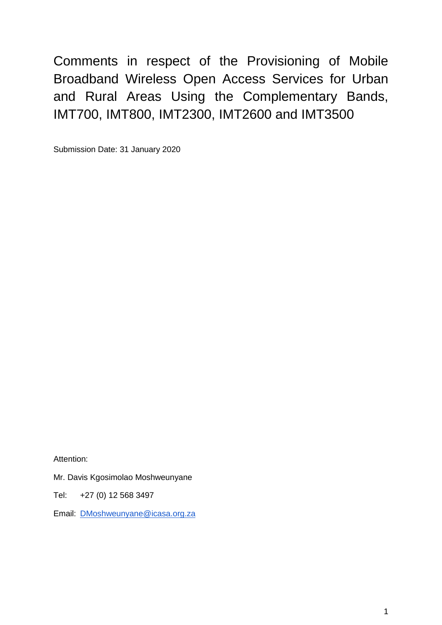Comments in respect of the Provisioning of Mobile Broadband Wireless Open Access Services for Urban and Rural Areas Using the Complementary Bands, IMT700, IMT800, IMT2300, IMT2600 and IMT3500

Submission Date: 31 January 2020

Attention:

Mr. Davis Kgosimolao Moshweunyane

Tel: +27 (0) 12 568 3497

Email: [DMoshweunyane@icasa.org.za](mailto:DMoshweunyane@icasa.org.za)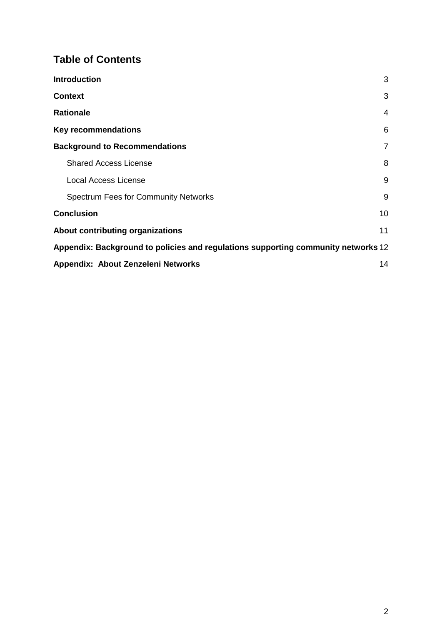### **Table of Contents**

| <b>Introduction</b>                                                               | 3              |
|-----------------------------------------------------------------------------------|----------------|
| <b>Context</b>                                                                    | 3              |
| <b>Rationale</b>                                                                  | $\overline{4}$ |
| <b>Key recommendations</b>                                                        | 6              |
| <b>Background to Recommendations</b>                                              | 7              |
| <b>Shared Access License</b>                                                      | 8              |
| Local Access License                                                              | 9              |
| <b>Spectrum Fees for Community Networks</b>                                       | 9              |
| <b>Conclusion</b>                                                                 | 10             |
| About contributing organizations                                                  | 11             |
| Appendix: Background to policies and regulations supporting community networks 12 |                |
| Appendix: About Zenzeleni Networks                                                | 14             |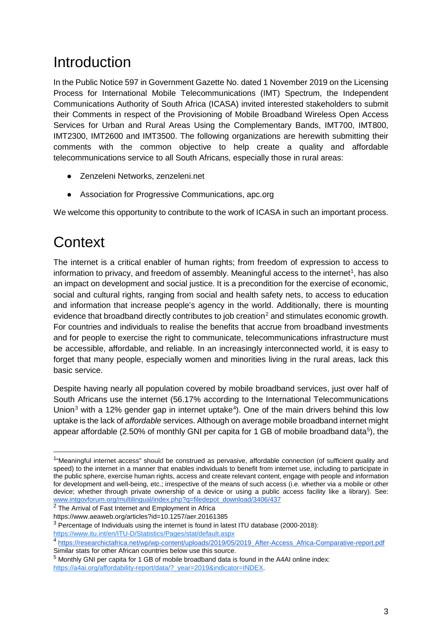## <span id="page-2-0"></span>Introduction

In the Public Notice 597 in Government Gazette No. dated 1 November 2019 on the Licensing Process for International Mobile Telecommunications (IMT) Spectrum, the Independent Communications Authority of South Africa (ICASA) invited interested stakeholders to submit their Comments in respect of the Provisioning of Mobile Broadband Wireless Open Access Services for Urban and Rural Areas Using the Complementary Bands, IMT700, IMT800, IMT2300, IMT2600 and IMT3500. The following organizations are herewith submitting their comments with the common objective to help create a quality and affordable telecommunications service to all South Africans, especially those in rural areas:

- Zenzeleni Networks, zenzeleni.net
- Association for Progressive Communications, apc.org

We welcome this opportunity to contribute to the work of ICASA in such an important process.

## <span id="page-2-1"></span>**Context**

The internet is a critical enabler of human rights; from freedom of expression to access to information to privacy, and freedom of assembly. Meaningful access to the internet<sup>[1](#page-2-2)</sup>, has also an impact on development and social justice. It is a precondition for the exercise of economic, social and cultural rights, ranging from social and health safety nets, to access to education and information that increase people's agency in the world. Additionally, there is mounting evidence that broadband directly contributes to job creation<sup>[2](#page-2-3)</sup> and stimulates economic growth. For countries and individuals to realise the benefits that accrue from broadband investments and for people to exercise the right to communicate, telecommunications infrastructure must be accessible, affordable, and reliable. In an increasingly interconnected world, it is easy to forget that many people, especially women and minorities living in the rural areas, lack this basic service.

Despite having nearly all population covered by mobile broadband services, just over half of South Africans use the internet (56.17% according to the International Telecommunications Union<sup>[3](#page-2-4)</sup> with a 12% gender gap in internet uptake<sup>[4](#page-2-5)</sup>). One of the main drivers behind this low uptake is the lack of *affordable* services. Although on average mobile broadband internet might appear affordable (2.[5](#page-2-6)0% of monthly GNI per capita for 1 GB of mobile broadband data<sup>5</sup>), the

<span id="page-2-2"></span> <sup>1</sup> "Meaningful internet access" should be construed as pervasive, affordable connection (of sufficient quality and speed) to the internet in a manner that enables individuals to benefit from internet use, including to participate in the public sphere, exercise human rights, access and create relevant content, engage with people and information for development and well-being, etc.; irrespective of the means of such access (i.e. whether via a mobile or other device; whether through private ownership of a device or using a public access facility like a library). See: [www.intgovforum.org/multilingual/index.php?q=filedepot\\_download/3406/437](http://www.intgovforum.org/multilingual/index.php?q=filedepot_download/3406/437)

<span id="page-2-3"></span><sup>&</sup>lt;sup>2</sup> The Arrival of Fast Internet and Employment in Africa

https://www.aeaweb.org/articles?id=10.1257/aer.20161385

<span id="page-2-4"></span><sup>&</sup>lt;sup>3</sup> Percentage of Individuals using the internet is found in latest ITU database (2000-2018):

<https://www.itu.int/en/ITU-D/Statistics/Pages/stat/default.aspx>

<span id="page-2-5"></span><sup>4</sup> [https://researchictafrica.net/wp/wp-content/uploads/2019/05/2019\\_After-Access\\_Africa-Comparative-report.pdf](https://researchictafrica.net/wp/wp-content/uploads/2019/05/2019_After-Access_Africa-Comparative-report.pdf) Similar stats for other African countries below use this source.

<span id="page-2-6"></span> $<sup>5</sup>$  Monthly GNI per capita for 1 GB of mobile broadband data is found in the A4AI online index:</sup> [https://a4ai.org/affordability-report/data/?\\_year=2019&indicator=INDEX.](https://a4ai.org/affordability-report/data/?_year=2019&indicator=INDEX)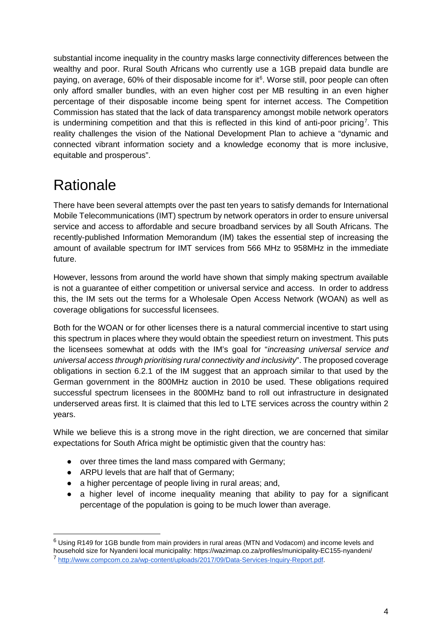substantial income inequality in the country masks large connectivity differences between the wealthy and poor. Rural South Africans who currently use a 1GB prepaid data bundle are paying, on average, [6](#page-3-1)0% of their disposable income for it<sup>6</sup>. Worse still, poor people can often only afford smaller bundles, with an even higher cost per MB resulting in an even higher percentage of their disposable income being spent for internet access. The Competition Commission has stated that the lack of data transparency amongst mobile network operators is undermining competition and that this is reflected in this kind of anti-poor pricing<sup>[7](#page-3-2)</sup>. This reality challenges the vision of the National Development Plan to achieve a "dynamic and connected vibrant information society and a knowledge economy that is more inclusive, equitable and prosperous".

# <span id="page-3-0"></span>**Rationale**

There have been several attempts over the past ten years to satisfy demands for International Mobile Telecommunications (IMT) spectrum by network operators in order to ensure universal service and access to affordable and secure broadband services by all South Africans. The recently-published Information Memorandum (IM) takes the essential step of increasing the amount of available spectrum for IMT services from 566 MHz to 958MHz in the immediate future.

However, lessons from around the world have shown that simply making spectrum available is not a guarantee of either competition or universal service and access. In order to address this, the IM sets out the terms for a Wholesale Open Access Network (WOAN) as well as coverage obligations for successful licensees.

Both for the WOAN or for other licenses there is a natural commercial incentive to start using this spectrum in places where they would obtain the speediest return on investment. This puts the licensees somewhat at odds with the IM's goal for "*increasing universal service and universal access through prioritising rural connectivity and inclusivity*". The proposed coverage obligations in section 6.2.1 of the IM suggest that an approach similar to that used by the German government in the 800MHz auction in 2010 be used. These obligations required successful spectrum licensees in the 800MHz band to roll out infrastructure in designated underserved areas first. It is claimed that this led to LTE services across the country within 2 years.

While we believe this is a strong move in the right direction, we are concerned that similar expectations for South Africa might be optimistic given that the country has:

- over three times the land mass compared with Germany;
- ARPU levels that are half that of Germany;
- a higher percentage of people living in rural areas; and,
- a higher level of income inequality meaning that ability to pay for a significant percentage of the population is going to be much lower than average.

<span id="page-3-2"></span><span id="page-3-1"></span> <sup>6</sup> Using R149 for 1GB bundle from main providers in rural areas (MTN and Vodacom) and income levels and household size for Nyandeni local municipality: https://wazimap.co.za/profiles/municipality-EC155-nyandeni/ <sup>7</sup> [http://www.compcom.co.za/wp-content/uploads/2017/09/Data-Services-Inquiry-Report.pdf.](http://www.compcom.co.za/wp-content/uploads/2017/09/Data-Services-Inquiry-Report.pdf)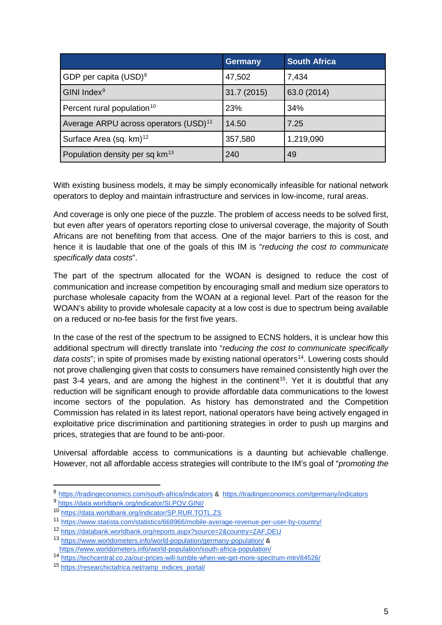|                                                   | <b>Germany</b> | <b>South Africa</b> |
|---------------------------------------------------|----------------|---------------------|
| GDP per capita $(USD)^8$                          | 47,502         | 7,434               |
| GINI Index <sup>9</sup>                           | 31.7 (2015)    | 63.0 (2014)         |
| Percent rural population <sup>10</sup>            | 23%            | 34%                 |
| Average ARPU across operators (USD) <sup>11</sup> | 14.50          | 7.25                |
| Surface Area (sq. km) <sup>12</sup>               | 357,580        | 1,219,090           |
| Population density per sq km <sup>13</sup>        | 240            | 49                  |

With existing business models, it may be simply economically infeasible for national network operators to deploy and maintain infrastructure and services in low-income, rural areas.

And coverage is only one piece of the puzzle. The problem of access needs to be solved first, but even after years of operators reporting close to universal coverage, the majority of South Africans are not benefiting from that access. One of the major barriers to this is cost, and hence it is laudable that one of the goals of this IM is "*reducing the cost to communicate specifically data costs*".

The part of the spectrum allocated for the WOAN is designed to reduce the cost of communication and increase competition by encouraging small and medium size operators to purchase wholesale capacity from the WOAN at a regional level. Part of the reason for the WOAN's ability to provide wholesale capacity at a low cost is due to spectrum being available on a reduced or no-fee basis for the first five years.

In the case of the rest of the spectrum to be assigned to ECNS holders, it is unclear how this additional spectrum will directly translate into "*reducing the cost to communicate specifically data costs*"; in spite of promises made by existing national operators<sup>[14](#page-4-6)</sup>. Lowering costs should not prove challenging given that costs to consumers have remained consistently high over the past 3-4 years, and are among the highest in the continent<sup>15</sup>. Yet it is doubtful that any reduction will be significant enough to provide affordable data communications to the lowest income sectors of the population. As history has demonstrated and the Competition Commission has related in its latest report, national operators have being actively engaged in exploitative price discrimination and partitioning strategies in order to push up margins and prices, strategies that are found to be anti-poor.

Universal affordable access to communications is a daunting but achievable challenge. However, not all affordable access strategies will contribute to the IM's goal of "*promoting the* 

<span id="page-4-0"></span><sup>8</sup> https://tradingeconomics.com/south-africa/indicators & <https://tradingeconomics.com/germany/indicators>9 <https://data.worldbank.org/indicator/SI.POV.GINI/>

<span id="page-4-1"></span>

<span id="page-4-2"></span><sup>10</sup> <https://data.worldbank.org/indicator/SP.RUR.TOTL.ZS>

<span id="page-4-3"></span><sup>11</sup> <https://www.statista.com/statistics/668966/mobile-average-revenue-per-user-by-country/>

<span id="page-4-4"></span><sup>12</sup> <https://databank.worldbank.org/reports.aspx?source=2&country=ZAF,DEU> <sup>13</sup> <https://www.worldometers.info/world-population/germany-population/> &

<span id="page-4-5"></span><https://www.worldometers.info/world-population/south-africa-population/>

<span id="page-4-6"></span><sup>14</sup> <https://techcentral.co.za/our-prices-will-tumble-when-we-get-more-spectrum-mtn/84526/>

<span id="page-4-7"></span><sup>15</sup> [https://researchictafrica.net/ramp\\_indices\\_portal/](https://researchictafrica.net/ramp_indices_portal/)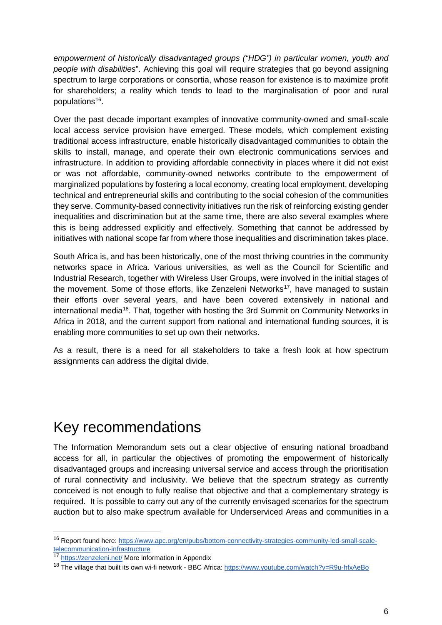*empowerment of historically disadvantaged groups ("HDG") in particular women, youth and people with disabilities*". Achieving this goal will require strategies that go beyond assigning spectrum to large corporations or consortia, whose reason for existence is to maximize profit for shareholders; a reality which tends to lead to the marginalisation of poor and rural populations<sup>[16](#page-5-1)</sup>.

Over the past decade important examples of innovative community-owned and small-scale local access service provision have emerged. These models, which complement existing traditional access infrastructure, enable historically disadvantaged communities to obtain the skills to install, manage, and operate their own electronic communications services and infrastructure. In addition to providing affordable connectivity in places where it did not exist or was not affordable, community-owned networks contribute to the empowerment of marginalized populations by fostering a local economy, creating local employment, developing technical and entrepreneurial skills and contributing to the social cohesion of the communities they serve. Community-based connectivity initiatives run the risk of reinforcing existing gender inequalities and discrimination but at the same time, there are also several examples where this is being addressed explicitly and effectively. Something that cannot be addressed by initiatives with national scope far from where those inequalities and discrimination takes place.

South Africa is, and has been historically, one of the most thriving countries in the community networks space in Africa. Various universities, as well as the Council for Scientific and Industrial Research, together with Wireless User Groups, were involved in the initial stages of the movement. Some of those efforts, like Zenzeleni Networks<sup>[17](#page-5-2)</sup>, have managed to sustain their efforts over several years, and have been covered extensively in national and international media<sup>[18](#page-5-3)</sup>. That, together with hosting the 3rd Summit on Community Networks in Africa in 2018, and the current support from national and international funding sources, it is enabling more communities to set up own their networks.

As a result, there is a need for all stakeholders to take a fresh look at how spectrum assignments can address the digital divide.

## <span id="page-5-0"></span>Key recommendations

The Information Memorandum sets out a clear objective of ensuring national broadband access for all, in particular the objectives of promoting the empowerment of historically disadvantaged groups and increasing universal service and access through the prioritisation of rural connectivity and inclusivity. We believe that the spectrum strategy as currently conceived is not enough to fully realise that objective and that a complementary strategy is required. It is possible to carry out any of the currently envisaged scenarios for the spectrum auction but to also make spectrum available for Underserviced Areas and communities in a

<span id="page-5-1"></span> <sup>16</sup> Report found here: [https://www.apc.org/en/pubs/bottom-connectivity-strategies-community-led-small-scale](https://www.apc.org/en/pubs/bottom-connectivity-strategies-community-led-small-scale-telecommunication-infrastructure)[telecommunication-infrastructure](https://www.apc.org/en/pubs/bottom-connectivity-strategies-community-led-small-scale-telecommunication-infrastructure)

<span id="page-5-2"></span><sup>17</sup> <https://zenzeleni.net/> More information in Appendix

<span id="page-5-3"></span><sup>&</sup>lt;sup>18</sup> The village that built its own wi-fi network - BBC Africa:<https://www.youtube.com/watch?v=R9u-hfxAeBo>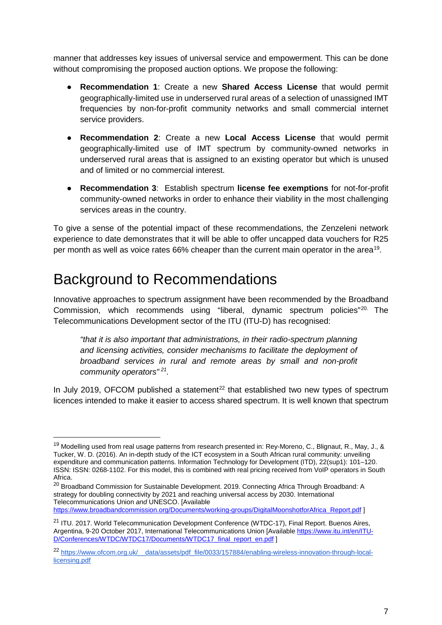manner that addresses key issues of universal service and empowerment. This can be done without compromising the proposed auction options. We propose the following:

- **Recommendation 1**: Create a new **Shared Access License** that would permit geographically-limited use in underserved rural areas of a selection of unassigned IMT frequencies by non-for-profit community networks and small commercial internet service providers.
- **Recommendation 2**: Create a new **Local Access License** that would permit geographically-limited use of IMT spectrum by community-owned networks in underserved rural areas that is assigned to an existing operator but which is unused and of limited or no commercial interest.
- **Recommendation 3**: Establish spectrum **license fee exemptions** for not-for-profit community-owned networks in order to enhance their viability in the most challenging services areas in the country.

To give a sense of the potential impact of these recommendations, the Zenzeleni network experience to date demonstrates that it will be able to offer uncapped data vouchers for R25 per month as well as voice rates 66% cheaper than the current main operator in the area[19](#page-6-1).

## <span id="page-6-0"></span>Background to Recommendations

Innovative approaches to spectrum assignment have been recommended by the Broadband Commission, which recommends using "liberal, dynamic spectrum policies"<sup>[20](#page-6-2).</sup> The Telecommunications Development sector of the ITU (ITU-D) has recognised:

*"that it is also important that administrations, in their radio-spectrum planning and licensing activities, consider mechanisms to facilitate the deployment of broadband services in rural and remote areas by small and non-profit community operators" [21.](#page-6-3)*

In July 2019, OFCOM published a statement<sup>[22](#page-6-4)</sup> that established two new types of spectrum licences intended to make it easier to access shared spectrum. It is well known that spectrum

<span id="page-6-2"></span><sup>20</sup> Broadband Commission for Sustainable Development. 2019. Connecting Africa Through Broadband: A strategy for doubling connectivity by 2021 and reaching universal access by 2030. International Telecommunications Union *and* UNESCO. [Available

[https://www.broadbandcommission.org/Documents/working-groups/DigitalMoonshotforAfrica\\_Report.pdf](https://www.broadbandcommission.org/Documents/working-groups/DigitalMoonshotforAfrica_Report.pdf) ]

<span id="page-6-1"></span><sup>&</sup>lt;sup>19</sup> Modellina used from real usage patterns from research presented in: Rey-Moreno, C., Blignaut, R., May, J., & Tucker, W. D. (2016). An in-depth study of the ICT ecosystem in a South African rural community: unveiling expenditure and communication patterns. Information Technology for Development (ITD), 22(sup1): 101–120. ISSN: ISSN: 0268-1102. For this model, this is combined with real pricing received from VoIP operators in South Africa.

<span id="page-6-3"></span><sup>&</sup>lt;sup>21</sup> ITU. 2017. World Telecommunication Development Conference (WTDC-17), Final Report. Buenos Aires, Argentina, 9-20 October 2017, International Telecommunications Union [Available [https://www.itu.int/en/ITU-](https://www.itu.int/en/ITU-D/Conferences/WTDC/WTDC17/Documents/WTDC17_final_report_en.pdf)[D/Conferences/WTDC/WTDC17/Documents/WTDC17\\_final\\_report\\_en.pdf](https://www.itu.int/en/ITU-D/Conferences/WTDC/WTDC17/Documents/WTDC17_final_report_en.pdf) ]

<span id="page-6-4"></span><sup>&</sup>lt;sup>22</sup> https://www.ofcom.org.uk/ data/assets/pdf\_file/0033/157884/enabling-wireless-innovation-through-local[licensing.pdf](https://www.ofcom.org.uk/__data/assets/pdf_file/0033/157884/enabling-wireless-innovation-through-local-licensing.pdf)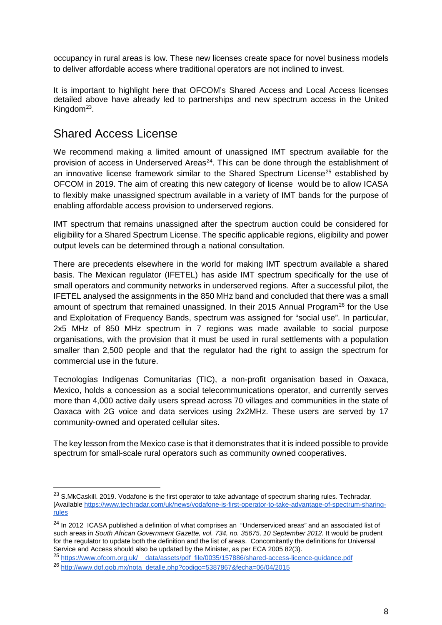occupancy in rural areas is low. These new licenses create space for novel business models to deliver affordable access where traditional operators are not inclined to invest.

It is important to highlight here that OFCOM's Shared Access and Local Access licenses detailed above have already led to partnerships and new spectrum access in the United Kingdom<sup>23</sup>.

### <span id="page-7-0"></span>Shared Access License

We recommend making a limited amount of unassigned IMT spectrum available for the provision of access in Underserved Areas<sup>[24](#page-7-2)</sup>. This can be done through the establishment of an innovative license framework similar to the Shared Spectrum License<sup>[25](#page-7-3)</sup> established by OFCOM in 2019. The aim of creating this new category of license would be to allow ICASA to flexibly make unassigned spectrum available in a variety of IMT bands for the purpose of enabling affordable access provision to underserved regions.

IMT spectrum that remains unassigned after the spectrum auction could be considered for eligibility for a Shared Spectrum License. The specific applicable regions, eligibility and power output levels can be determined through a national consultation.

There are precedents elsewhere in the world for making IMT spectrum available a shared basis. The Mexican regulator (IFETEL) has aside IMT spectrum specifically for the use of small operators and community networks in underserved regions. After a successful pilot, the IFETEL analysed the assignments in the 850 MHz band and concluded that there was a small amount of spectrum that remained unassigned. In their 2015 Annual Program<sup>[26](#page-7-4)</sup> for the Use and Exploitation of Frequency Bands, spectrum was assigned for "social use". In particular, 2x5 MHz of 850 MHz spectrum in 7 regions was made available to social purpose organisations, with the provision that it must be used in rural settlements with a population smaller than 2,500 people and that the regulator had the right to assign the spectrum for commercial use in the future.

Tecnologías Indígenas Comunitarias (TIC), a non-profit organisation based in Oaxaca, Mexico, holds a concession as a social telecommunications operator, and currently serves more than 4,000 active daily users spread across 70 villages and communities in the state of Oaxaca with 2G voice and data services using 2x2MHz. These users are served by 17 community-owned and operated cellular sites.

The key lesson from the Mexico case is that it demonstrates that it is indeed possible to provide spectrum for small-scale rural operators such as community owned cooperatives.

<span id="page-7-1"></span><sup>&</sup>lt;sup>23</sup> S.MkCaskill. 2019. Vodafone is the first operator to take advantage of spectrum sharing rules. Techradar. [Availabl[e https://www.techradar.com/uk/news/vodafone-is-first-operator-to-take-advantage-of-spectrum-sharing](https://www.techradar.com/uk/news/vodafone-is-first-operator-to-take-advantage-of-spectrum-sharing-rules)[rules](https://www.techradar.com/uk/news/vodafone-is-first-operator-to-take-advantage-of-spectrum-sharing-rules)

<span id="page-7-2"></span><sup>&</sup>lt;sup>24</sup> In 2012 ICASA published a definition of what comprises an "Underserviced areas" and an associated list of such areas in *South African Government Gazette, vol. 734, no. 35675, 10 September 2012.* It would be prudent for the regulator to update both the definition and the list of areas. Concomitantly the definitions for Universal Service and Access should also be updated by the Minister, as per ECA 2005 82(3).

<span id="page-7-3"></span><sup>25</sup> [https://www.ofcom.org.uk/\\_\\_data/assets/pdf\\_file/0035/157886/shared-access-licence-guidance.pdf](https://www.ofcom.org.uk/__data/assets/pdf_file/0035/157886/shared-access-licence-guidance.pdf)

<span id="page-7-4"></span><sup>26</sup> [http://www.dof.gob.mx/nota\\_detalle.php?codigo=5387867&fecha=06/04/2015](http://www.dof.gob.mx/nota_detalle.php?codigo=5387867&fecha=06/04/2015)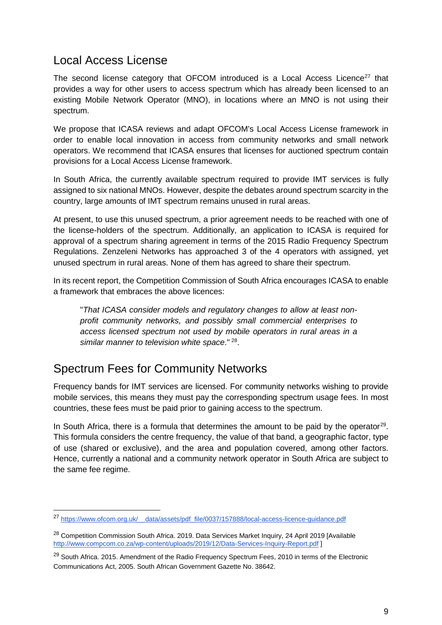#### <span id="page-8-0"></span>Local Access License

The second license category that OFCOM introduced is a Local Access Licence<sup>27</sup> that provides a way for other users to access spectrum which has already been licensed to an existing Mobile Network Operator (MNO), in locations where an MNO is not using their spectrum.

We propose that ICASA reviews and adapt OFCOM's Local Access License framework in order to enable local innovation in access from community networks and small network operators. We recommend that ICASA ensures that licenses for auctioned spectrum contain provisions for a Local Access License framework.

In South Africa, the currently available spectrum required to provide IMT services is fully assigned to six national MNOs. However, despite the debates around spectrum scarcity in the country, large amounts of IMT spectrum remains unused in rural areas.

At present, to use this unused spectrum, a prior agreement needs to be reached with one of the license-holders of the spectrum. Additionally, an application to ICASA is required for approval of a spectrum sharing agreement in terms of the 2015 Radio Frequency Spectrum Regulations. Zenzeleni Networks has approached 3 of the 4 operators with assigned, yet unused spectrum in rural areas. None of them has agreed to share their spectrum.

In its recent report, the Competition Commission of South Africa encourages ICASA to enable a framework that embraces the above licences:

"*That ICASA consider models and regulatory changes to allow at least nonprofit community networks, and possibly small commercial enterprises to access licensed spectrum not used by mobile operators in rural areas in a similar manner to television white space*." [28.](#page-8-3)

### <span id="page-8-1"></span>Spectrum Fees for Community Networks

Frequency bands for IMT services are licensed. For community networks wishing to provide mobile services, this means they must pay the corresponding spectrum usage fees. In most countries, these fees must be paid prior to gaining access to the spectrum.

In South Africa, there is a formula that determines the amount to be paid by the operator<sup>[29](#page-8-4)</sup>. This formula considers the centre frequency, the value of that band, a geographic factor, type of use (shared or exclusive), and the area and population covered, among other factors. Hence, currently a national and a community network operator in South Africa are subject to the same fee regime.

<span id="page-8-2"></span> <sup>27</sup> [https://www.ofcom.org.uk/\\_\\_data/assets/pdf\\_file/0037/157888/local-access-licence-guidance.pdf](https://www.ofcom.org.uk/__data/assets/pdf_file/0037/157888/local-access-licence-guidance.pdf)

<span id="page-8-3"></span><sup>&</sup>lt;sup>28</sup> Competition Commission South Africa. 2019. Data Services Market Inquiry, 24 April 2019 [Available <http://www.compcom.co.za/wp-content/uploads/2019/12/Data-Services-Inquiry-Report.pdf> ]

<span id="page-8-4"></span><sup>&</sup>lt;sup>29</sup> South Africa. 2015. Amendment of the Radio Frequency Spectrum Fees, 2010 in terms of the Electronic Communications Act, 2005. South African Government Gazette No. 38642.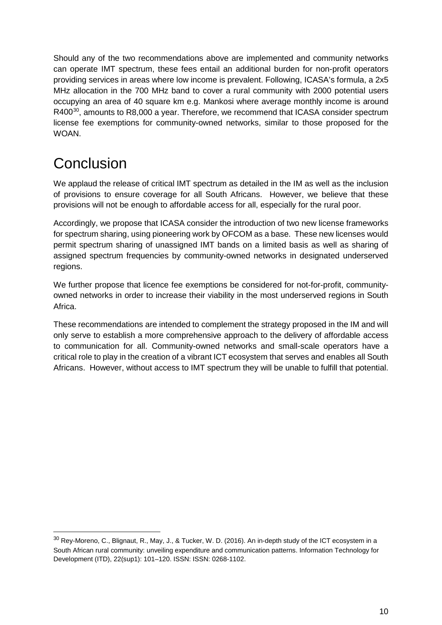Should any of the two recommendations above are implemented and community networks can operate IMT spectrum, these fees entail an additional burden for non-profit operators providing services in areas where low income is prevalent. Following, ICASA's formula, a 2x5 MHz allocation in the 700 MHz band to cover a rural community with 2000 potential users occupying an area of 40 square km e.g. Mankosi where average monthly income is around R400<sup>[30](#page-9-1)</sup>, amounts to R8,000 a year. Therefore, we recommend that ICASA consider spectrum license fee exemptions for community-owned networks, similar to those proposed for the WOAN.

## <span id="page-9-0"></span>**Conclusion**

We applaud the release of critical IMT spectrum as detailed in the IM as well as the inclusion of provisions to ensure coverage for all South Africans. However, we believe that these provisions will not be enough to affordable access for all, especially for the rural poor.

Accordingly, we propose that ICASA consider the introduction of two new license frameworks for spectrum sharing, using pioneering work by OFCOM as a base. These new licenses would permit spectrum sharing of unassigned IMT bands on a limited basis as well as sharing of assigned spectrum frequencies by community-owned networks in designated underserved regions.

We further propose that licence fee exemptions be considered for not-for-profit, communityowned networks in order to increase their viability in the most underserved regions in South Africa.

These recommendations are intended to complement the strategy proposed in the IM and will only serve to establish a more comprehensive approach to the delivery of affordable access to communication for all. Community-owned networks and small-scale operators have a critical role to play in the creation of a vibrant ICT ecosystem that serves and enables all South Africans. However, without access to IMT spectrum they will be unable to fulfill that potential.

<span id="page-9-1"></span> <sup>30</sup> Rey-Moreno, C., Blignaut, R., May, J., & Tucker, W. D. (2016). An in-depth study of the ICT ecosystem in a South African rural community: unveiling expenditure and communication patterns. Information Technology for Development (ITD), 22(sup1): 101–120. ISSN: ISSN: 0268-1102.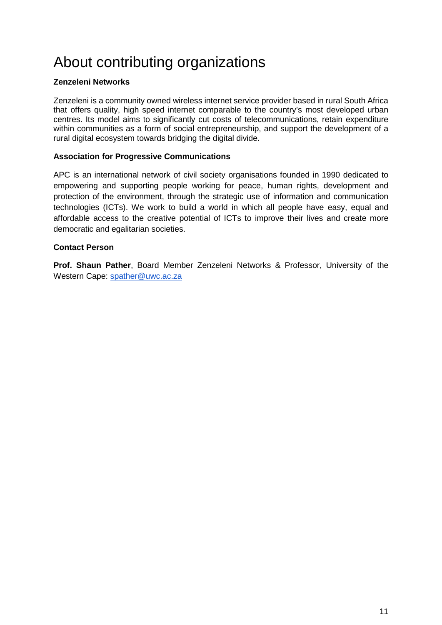# <span id="page-10-0"></span>About contributing organizations

#### **Zenzeleni Networks**

Zenzeleni is a community owned wireless internet service provider based in rural South Africa that offers quality, high speed internet comparable to the country's most developed urban centres. Its model aims to significantly cut costs of telecommunications, retain expenditure within communities as a form of social entrepreneurship, and support the development of a rural digital ecosystem towards bridging the digital divide.

#### **Association for Progressive Communications**

APC is an international network of civil society organisations founded in 1990 dedicated to empowering and supporting people working for peace, human rights, development and protection of the environment, through the strategic use of information and communication technologies (ICTs). We work to build a world in which all people have easy, equal and affordable access to the creative potential of ICTs to improve their lives and create more democratic and egalitarian societies.

#### **Contact Person**

**Prof. Shaun Pather**, Board Member Zenzeleni Networks & Professor, University of the Western Cape: [spather@uwc.ac.za](mailto:spather@uwc.ac.za)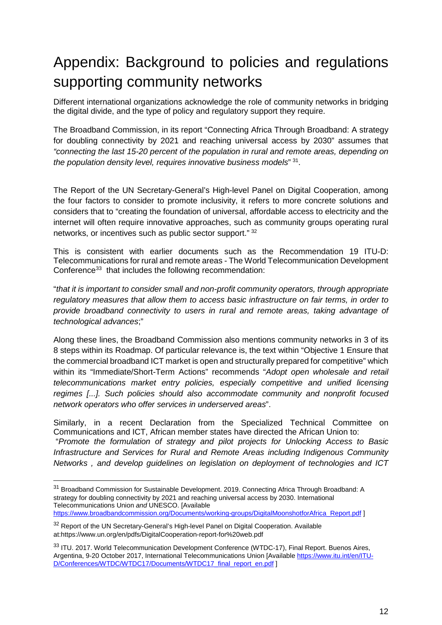# <span id="page-11-0"></span>Appendix: Background to policies and regulations supporting community networks

Different international organizations acknowledge the role of community networks in bridging the digital divide, and the type of policy and regulatory support they require.

The Broadband Commission, in its report "Connecting Africa Through Broadband: A strategy for doubling connectivity by 2021 and reaching universal access by 2030" assumes that *"connecting the last 15-20 percent of the population in rural and remote areas, depending on the population density level, requires innovative business models*" [31](#page-11-1).

The Report of the UN Secretary-General's High-level Panel on Digital Cooperation, among the four factors to consider to promote inclusivity, it refers to more concrete solutions and considers that to "creating the foundation of universal, affordable access to electricity and the internet will often require innovative approaches, such as community groups operating rural networks, or incentives such as public sector support." [32](#page-11-2)

This is consistent with earlier documents such as the Recommendation 19 ITU-D: Telecommunications for rural and remote areas - The World Telecommunication Development Conference<sup>33</sup> that includes the following recommendation:

"*that it is important to consider small and non-profit community operators, through appropriate regulatory measures that allow them to access basic infrastructure on fair terms, in order to provide broadband connectivity to users in rural and remote areas, taking advantage of technological advances*;"

Along these lines, the Broadband Commission also mentions community networks in 3 of its 8 steps within its Roadmap. Of particular relevance is, the text within "Objective 1 Ensure that the commercial broadband ICT market is open and structurally prepared for competitive" which within its "Immediate/Short-Term Actions" recommends "*Adopt open wholesale and retail telecommunications market entry policies, especially competitive and unified licensing regimes [...]. Such policies should also accommodate community and nonprofit focused network operators who offer services in underserved areas*".

Similarly, in a recent Declaration from the Specialized Technical Committee on Communications and ICT, African member states have directed the African Union to: "*Promote the formulation of strategy and pilot projects for Unlocking Access to Basic Infrastructure and Services for Rural and Remote Areas including Indigenous Community Networks , and develop guidelines on legislation on deployment of technologies and ICT* 

<span id="page-11-1"></span><sup>&</sup>lt;sup>31</sup> Broadband Commission for Sustainable Development. 2019. Connecting Africa Through Broadband: A strategy for doubling connectivity by 2021 and reaching universal access by 2030. International Telecommunications Union *and* UNESCO. [Available [https://www.broadbandcommission.org/Documents/working-groups/DigitalMoonshotforAfrica\\_Report.pdf](https://www.broadbandcommission.org/Documents/working-groups/DigitalMoonshotforAfrica_Report.pdf) ]

<span id="page-11-2"></span><sup>&</sup>lt;sup>32</sup> Report of the UN Secretary-General's High-level Panel on Digital Cooperation. Available at:https://www.un.org/en/pdfs/DigitalCooperation-report-for%20web.pdf

<span id="page-11-3"></span><sup>33</sup> ITU. 2017. World Telecommunication Development Conference (WTDC-17), Final Report. Buenos Aires, Argentina, 9-20 October 2017, International Telecommunications Union [Available [https://www.itu.int/en/ITU-](https://www.itu.int/en/ITU-D/Conferences/WTDC/WTDC17/Documents/WTDC17_final_report_en.pdf)[D/Conferences/WTDC/WTDC17/Documents/WTDC17\\_final\\_report\\_en.pdf](https://www.itu.int/en/ITU-D/Conferences/WTDC/WTDC17/Documents/WTDC17_final_report_en.pdf) ]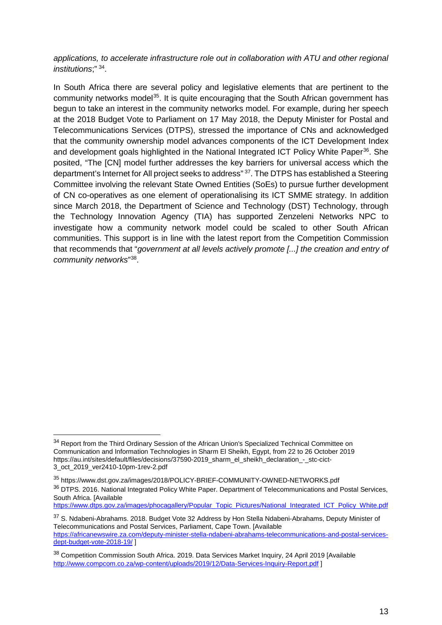*applications, to accelerate infrastructure role out in collaboration with ATU and other regional institutions*;" [34.](#page-12-0)

In South Africa there are several policy and legislative elements that are pertinent to the community networks model<sup>[35](#page-12-1)</sup>. It is quite encouraging that the South African government has begun to take an interest in the community networks model. For example, during her speech at the 2018 Budget Vote to Parliament on 17 May 2018, the Deputy Minister for Postal and Telecommunications Services (DTPS), stressed the importance of CNs and acknowledged that the community ownership model advances components of the ICT Development Index and development goals highlighted in the National Integrated ICT Policy White Paper<sup>[36](#page-12-2)</sup>. She posited, "The [CN] model further addresses the key barriers for universal access which the department's Internet for All project seeks to address" [37.](#page-12-3) The DTPS has established a Steering Committee involving the relevant State Owned Entities (SoEs) to pursue further development of CN co-operatives as one element of operationalising its ICT SMME strategy. In addition since March 2018, the Department of Science and Technology (DST) Technology, through the Technology Innovation Agency (TIA) has supported Zenzeleni Networks NPC to investigate how a community network model could be scaled to other South African communities. This support is in line with the latest report from the Competition Commission that recommends that "*government at all levels actively promote [...] the creation and entry of community networks*["38](#page-12-4).

<span id="page-12-0"></span><sup>&</sup>lt;sup>34</sup> Report from the Third Ordinary Session of the African Union's Specialized Technical Committee on Communication and Information Technologies in Sharm El Sheikh, Egypt, from 22 to 26 October 2019 https://au.int/sites/default/files/decisions/37590-2019\_sharm\_el\_sheikh\_declaration\_-\_stc-cict-3\_oct\_2019\_ver2410-10pm-1rev-2.pdf

<span id="page-12-2"></span><span id="page-12-1"></span><sup>35</sup> https://www.dst.gov.za/images/2018/POLICY-BRIEF-COMMUNITY-OWNED-NETWORKS.pdf <sup>36</sup> DTPS. 2016. National Integrated Policy White Paper. Department of Telecommunications and Postal Services, South Africa. [Available [https://www.dtps.gov.za/images/phocagallery/Popular\\_Topic\\_Pictures/National\\_Integrated\\_ICT\\_Policy\\_White.pdf](https://www.dtps.gov.za/images/phocagallery/Popular_Topic_Pictures/National_Integrated_ICT_Policy_White.pdf)

<span id="page-12-3"></span><sup>&</sup>lt;sup>37</sup> S. Ndabeni-Abrahams. 2018. Budget Vote 32 Address by Hon Stella Ndabeni-Abrahams, Deputy Minister of Telecommunications and Postal Services, Parliament, Cape Town. [Available [https://africanewswire.za.com/deputy-minister-stella-ndabeni-abrahams-telecommunications-and-postal-services](https://africanewswire.za.com/deputy-minister-stella-ndabeni-abrahams-telecommunications-and-postal-services-dept-budget-vote-2018-19/)[dept-budget-vote-2018-19/](https://africanewswire.za.com/deputy-minister-stella-ndabeni-abrahams-telecommunications-and-postal-services-dept-budget-vote-2018-19/) ]

<span id="page-12-4"></span><sup>38</sup> Competition Commission South Africa. 2019. Data Services Market Inquiry, 24 April 2019 [Available <http://www.compcom.co.za/wp-content/uploads/2019/12/Data-Services-Inquiry-Report.pdf> ]